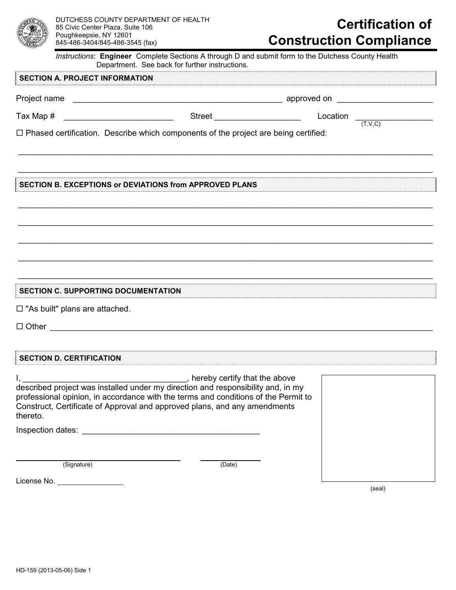

# **Certification of Construction Compliance**

*Instructions*: **Engineer** Complete Sections A through D and submit form to the Dutchess County Health Department. See back for further instructions.

\_\_\_\_\_\_\_\_\_\_\_\_\_\_\_\_\_\_\_\_\_\_\_\_\_\_\_\_\_\_\_\_\_\_\_\_\_\_\_\_\_\_\_\_\_\_\_\_\_\_\_\_\_\_\_\_\_\_\_\_\_\_\_\_\_\_\_\_\_\_\_\_\_\_\_\_\_\_\_\_\_\_\_\_\_\_\_\_\_\_\_

 $\overline{\phantom{a}}$  , and the contribution of the contribution of the contribution of the contribution of the contribution of the contribution of the contribution of the contribution of the contribution of the contribution of the

\_\_\_\_\_\_\_\_\_\_\_\_\_\_\_\_\_\_\_\_\_\_\_\_\_\_\_\_\_\_\_\_\_\_\_\_\_\_\_\_\_\_\_\_\_\_\_\_\_\_\_\_\_\_\_\_\_\_\_\_\_\_\_\_\_\_\_\_\_\_\_\_\_\_\_\_\_\_\_\_\_\_\_\_\_\_\_\_\_\_\_

\_\_\_\_\_\_\_\_\_\_\_\_\_\_\_\_\_\_\_\_\_\_\_\_\_\_\_\_\_\_\_\_\_\_\_\_\_\_\_\_\_\_\_\_\_\_\_\_\_\_\_\_\_\_\_\_\_\_\_\_\_\_\_\_\_\_\_\_\_\_\_\_\_\_\_\_\_\_\_\_\_\_\_\_\_\_\_\_\_\_\_

\_\_\_\_\_\_\_\_\_\_\_\_\_\_\_\_\_\_\_\_\_\_\_\_\_\_\_\_\_\_\_\_\_\_\_\_\_\_\_\_\_\_\_\_\_\_\_\_\_\_\_\_\_\_\_\_\_\_\_\_\_\_\_\_\_\_\_\_\_\_\_\_\_\_\_\_\_\_\_\_\_\_\_\_\_\_\_\_\_\_\_

\_\_\_\_\_\_\_\_\_\_\_\_\_\_\_\_\_\_\_\_\_\_\_\_\_\_\_\_\_\_\_\_\_\_\_\_\_\_\_\_\_\_\_\_\_\_\_\_\_\_\_\_\_\_\_\_\_\_\_\_\_\_\_\_\_\_\_\_\_\_\_\_\_\_\_\_\_\_\_\_\_\_\_\_\_\_\_\_\_\_\_

\_\_\_\_\_\_\_\_\_\_\_\_\_\_\_\_\_\_\_\_\_\_\_\_\_\_\_\_\_\_\_\_\_\_\_\_\_\_\_\_\_\_\_\_\_\_\_\_\_\_\_\_\_\_\_\_\_\_\_\_\_\_\_\_\_\_\_\_\_\_\_\_\_\_\_\_\_\_\_\_\_\_\_\_\_\_\_\_\_\_\_

## **SECTION A. PROJECT INFORMATION**

Project name example and the set of the set of the set of the set of the set of the set of the set of the set of the set of the set of the set of the set of the set of the set of the set of the set of the set of the set of

Tax Map # \_\_\_\_\_\_\_\_\_\_\_\_\_\_\_\_\_\_\_\_\_\_\_\_ Street \_\_\_\_\_\_\_\_\_\_\_\_\_\_\_\_\_\_\_ Location \_\_\_\_\_\_\_\_\_\_\_\_\_\_\_\_\_

Location  $\frac{1}{(T,V,C)}$ 

 $\Box$  Phased certification. Describe which components of the project are being certified:

**SECTION B. EXCEPTIONS or DEVIATIONS from APPROVED PLANS** 

## **SECTION C. SUPPORTING DOCUMENTATION**

 $\Box$  "As built" plans are attached.

 $\Box$  Other  $\Box$ 

## **SECTION D. CERTIFICATION**

I, \_\_\_\_\_\_\_\_\_\_\_\_\_\_\_\_\_\_\_\_\_\_\_\_\_\_\_\_\_\_\_\_\_\_\_\_, hereby certify that the above described project was installed under my direction and responsibility and, in my professional opinion, in accordance with the terms and conditions of the Permit to Construct, Certificate of Approval and approved plans, and any amendments thereto.

Inspection dates: \_\_\_\_\_\_\_\_\_\_\_\_\_\_\_\_\_\_\_\_\_\_\_\_\_\_\_\_\_\_\_\_\_\_\_\_\_\_\_

(Signature) (Date)

License No.

(seal)